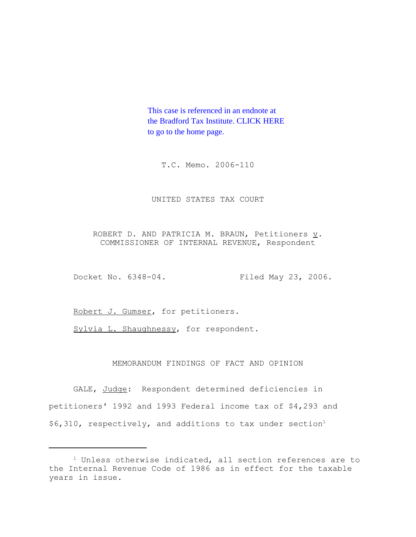This case is referenced in an endnote at [the Bradford Tax Institute. CLICK HERE](http://www.bradfordtaxinstitute.com/)  to go to the home page.

T.C. Memo. 2006-110

## UNITED STATES TAX COURT

ROBERT D. AND PATRICIA M. BRAUN, Petitioners  $\underline{v}$ . COMMISSIONER OF INTERNAL REVENUE, Respondent

Docket No. 6348-04. Filed May 23, 2006.

Robert J. Gumser, for petitioners.

Sylvia L. Shaughnessy, for respondent.

# MEMORANDUM FINDINGS OF FACT AND OPINION

GALE, Judge: Respondent determined deficiencies in petitioners' 1992 and 1993 Federal income tax of \$4,293 and  $$6,310$ , respectively, and additions to tax under section<sup>1</sup>

<sup>&</sup>lt;sup>1</sup> Unless otherwise indicated, all section references are to the Internal Revenue Code of 1986 as in effect for the taxable years in issue.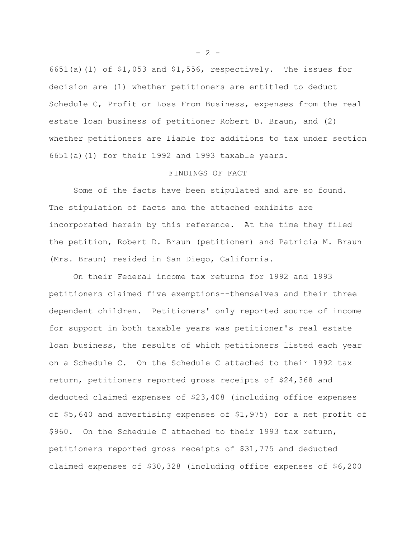6651(a)(1) of \$1,053 and \$1,556, respectively. The issues for decision are (1) whether petitioners are entitled to deduct Schedule C, Profit or Loss From Business, expenses from the real estate loan business of petitioner Robert D. Braun, and (2) whether petitioners are liable for additions to tax under section 6651(a)(1) for their 1992 and 1993 taxable years.

### FINDINGS OF FACT

Some of the facts have been stipulated and are so found. The stipulation of facts and the attached exhibits are incorporated herein by this reference. At the time they filed the petition, Robert D. Braun (petitioner) and Patricia M. Braun (Mrs. Braun) resided in San Diego, California.

On their Federal income tax returns for 1992 and 1993 petitioners claimed five exemptions--themselves and their three dependent children. Petitioners' only reported source of income for support in both taxable years was petitioner's real estate loan business, the results of which petitioners listed each year on a Schedule C. On the Schedule C attached to their 1992 tax return, petitioners reported gross receipts of \$24,368 and deducted claimed expenses of \$23,408 (including office expenses of \$5,640 and advertising expenses of \$1,975) for a net profit of \$960. On the Schedule C attached to their 1993 tax return, petitioners reported gross receipts of \$31,775 and deducted claimed expenses of \$30,328 (including office expenses of \$6,200

 $- 2 -$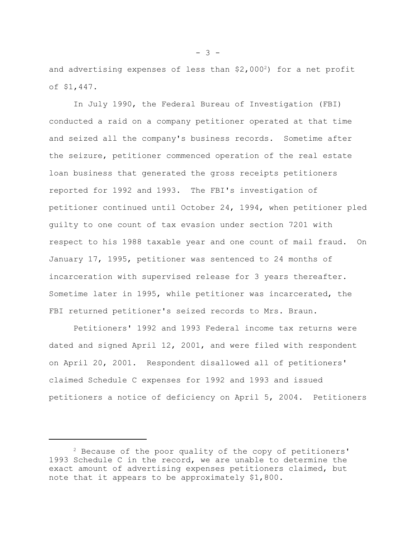and advertising expenses of less than  $$2,000^2$$  for a net profit of \$1,447.

In July 1990, the Federal Bureau of Investigation (FBI) conducted a raid on a company petitioner operated at that time and seized all the company's business records. Sometime after the seizure, petitioner commenced operation of the real estate loan business that generated the gross receipts petitioners reported for 1992 and 1993. The FBI's investigation of petitioner continued until October 24, 1994, when petitioner pled guilty to one count of tax evasion under section 7201 with respect to his 1988 taxable year and one count of mail fraud. On January 17, 1995, petitioner was sentenced to 24 months of incarceration with supervised release for 3 years thereafter. Sometime later in 1995, while petitioner was incarcerated, the FBI returned petitioner's seized records to Mrs. Braun.

Petitioners' 1992 and 1993 Federal income tax returns were dated and signed April 12, 2001, and were filed with respondent on April 20, 2001. Respondent disallowed all of petitioners' claimed Schedule C expenses for 1992 and 1993 and issued petitioners a notice of deficiency on April 5, 2004. Petitioners

 $- 3 -$ 

 $2$  Because of the poor quality of the copy of petitioners' 1993 Schedule C in the record, we are unable to determine the exact amount of advertising expenses petitioners claimed, but note that it appears to be approximately \$1,800.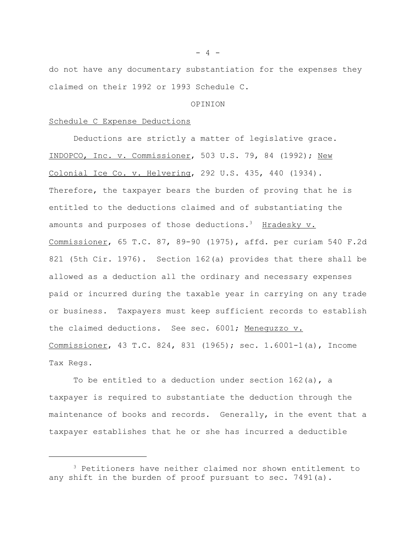do not have any documentary substantiation for the expenses they claimed on their 1992 or 1993 Schedule C.

#### OPINION

# Schedule C Expense Deductions

Deductions are strictly a matter of legislative grace. INDOPCO, Inc. v. Commissioner, 503 U.S. 79, 84 (1992); New Colonial Ice Co. v. Helvering, 292 U.S. 435, 440 (1934). Therefore, the taxpayer bears the burden of proving that he is entitled to the deductions claimed and of substantiating the amounts and purposes of those deductions.<sup>3</sup> Hradesky  $v$ . Commissioner, 65 T.C. 87, 89-90 (1975), affd. per curiam 540 F.2d 821 (5th Cir. 1976). Section 162(a) provides that there shall be allowed as a deduction all the ordinary and necessary expenses paid or incurred during the taxable year in carrying on any trade or business. Taxpayers must keep sufficient records to establish the claimed deductions. See sec. 6001; Meneguzzo v. Commissioner, 43 T.C. 824, 831 (1965); sec. 1.6001-1(a), Income Tax Regs.

To be entitled to a deduction under section  $162(a)$ , a taxpayer is required to substantiate the deduction through the maintenance of books and records. Generally, in the event that a taxpayer establishes that he or she has incurred a deductible

 $- 4 -$ 

<sup>3</sup> Petitioners have neither claimed nor shown entitlement to any shift in the burden of proof pursuant to sec. 7491(a).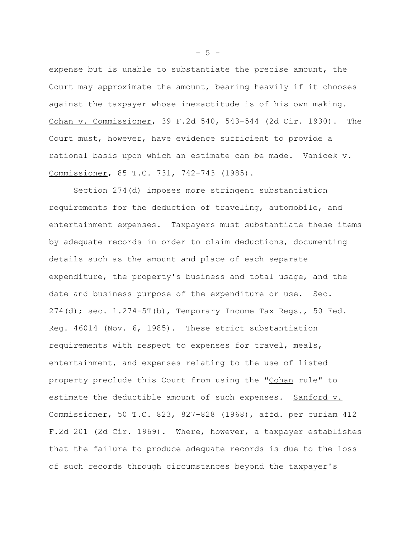expense but is unable to substantiate the precise amount, the Court may approximate the amount, bearing heavily if it chooses against the taxpayer whose inexactitude is of his own making. Cohan v. Commissioner, 39 F.2d 540, 543-544 (2d Cir. 1930). The Court must, however, have evidence sufficient to provide a rational basis upon which an estimate can be made. Vanicek v. Commissioner, 85 T.C. 731, 742-743 (1985).

Section 274(d) imposes more stringent substantiation requirements for the deduction of traveling, automobile, and entertainment expenses. Taxpayers must substantiate these items by adequate records in order to claim deductions, documenting details such as the amount and place of each separate expenditure, the property's business and total usage, and the date and business purpose of the expenditure or use. Sec.  $274$ (d); sec.  $1.274-5T$ (b), Temporary Income Tax Reqs., 50 Fed. Reg. 46014 (Nov. 6, 1985). These strict substantiation requirements with respect to expenses for travel, meals, entertainment, and expenses relating to the use of listed property preclude this Court from using the "Cohan rule" to estimate the deductible amount of such expenses. Sanford v. Commissioner, 50 T.C. 823, 827-828 (1968), affd. per curiam 412 F.2d 201 (2d Cir. 1969). Where, however, a taxpayer establishes that the failure to produce adequate records is due to the loss of such records through circumstances beyond the taxpayer's

 $-5 -$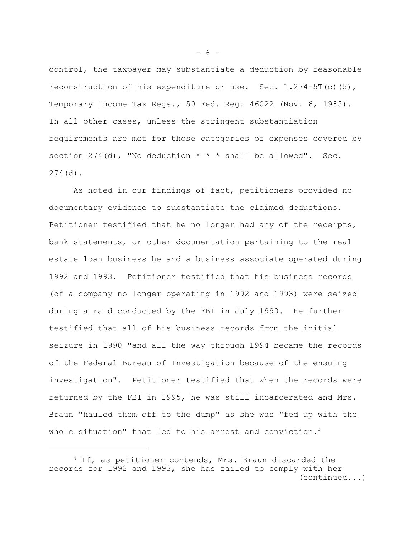control, the taxpayer may substantiate a deduction by reasonable reconstruction of his expenditure or use. Sec.  $1.274 - 5T(c)(5)$ , Temporary Income Tax Regs., 50 Fed. Reg. 46022 (Nov. 6, 1985). In all other cases, unless the stringent substantiation requirements are met for those categories of expenses covered by section  $274$  (d), "No deduction  $* * *$  shall be allowed". Sec. 274(d).

As noted in our findings of fact, petitioners provided no documentary evidence to substantiate the claimed deductions. Petitioner testified that he no longer had any of the receipts, bank statements, or other documentation pertaining to the real estate loan business he and a business associate operated during 1992 and 1993. Petitioner testified that his business records (of a company no longer operating in 1992 and 1993) were seized during a raid conducted by the FBI in July 1990. He further testified that all of his business records from the initial seizure in 1990 "and all the way through 1994 became the records of the Federal Bureau of Investigation because of the ensuing investigation". Petitioner testified that when the records were returned by the FBI in 1995, he was still incarcerated and Mrs. Braun "hauled them off to the dump" as she was "fed up with the whole situation" that led to his arrest and conviction.<sup>4</sup>

 $- 6 -$ 

<sup>4</sup> If, as petitioner contends, Mrs. Braun discarded the records for 1992 and 1993, she has failed to comply with her (continued...)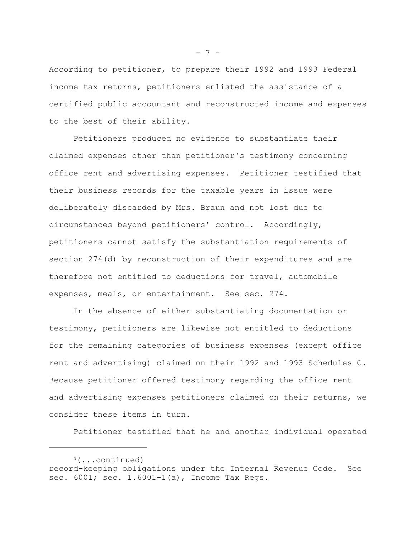According to petitioner, to prepare their 1992 and 1993 Federal income tax returns, petitioners enlisted the assistance of a certified public accountant and reconstructed income and expenses to the best of their ability.

Petitioners produced no evidence to substantiate their claimed expenses other than petitioner's testimony concerning office rent and advertising expenses. Petitioner testified that their business records for the taxable years in issue were deliberately discarded by Mrs. Braun and not lost due to circumstances beyond petitioners' control. Accordingly, petitioners cannot satisfy the substantiation requirements of section 274(d) by reconstruction of their expenditures and are therefore not entitled to deductions for travel, automobile expenses, meals, or entertainment. See sec. 274.

In the absence of either substantiating documentation or testimony, petitioners are likewise not entitled to deductions for the remaining categories of business expenses (except office rent and advertising) claimed on their 1992 and 1993 Schedules C. Because petitioner offered testimony regarding the office rent and advertising expenses petitioners claimed on their returns, we consider these items in turn.

Petitioner testified that he and another individual operated

 $- 7 -$ 

<sup>4(...</sup>continued) record-keeping obligations under the Internal Revenue Code. See sec. 6001; sec. 1.6001-1(a), Income Tax Regs.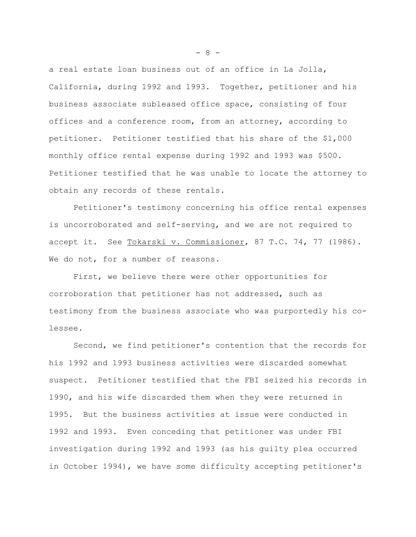a real estate loan business out of an office in La Jolla, California, during 1992 and 1993. Together, petitioner and his business associate subleased office space, consisting of four offices and a conference room, from an attorney, according to petitioner. Petitioner testified that his share of the \$1,000 monthly office rental expense during 1992 and 1993 was \$500. Petitioner testified that he was unable to locate the attorney to obtain any records of these rentals.

Petitioner's testimony concerning his office rental expenses is uncorroborated and self-serving, and we are not required to accept it. See Tokarski v. Commissioner, 87 T.C. 74, 77 (1986). We do not, for a number of reasons.

First, we believe there were other opportunities for corroboration that petitioner has not addressed, such as testimony from the business associate who was purportedly his colessee.

Second, we find petitioner's contention that the records for his 1992 and 1993 business activities were discarded somewhat suspect. Petitioner testified that the FBI seized his records in 1990, and his wife discarded them when they were returned in 1995. But the business activities at issue were conducted in 1992 and 1993. Even conceding that petitioner was under FBI investigation during 1992 and 1993 (as his guilty plea occurred in October 1994), we have some difficulty accepting petitioner's

- 8 -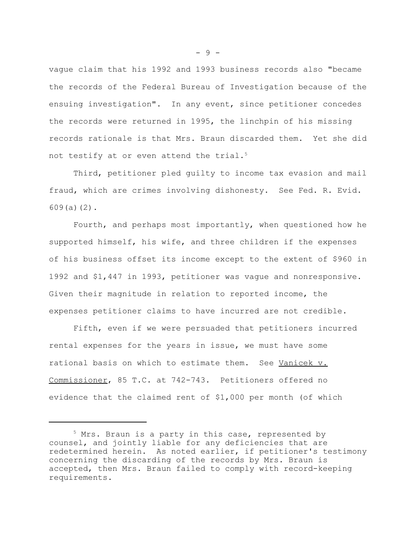vague claim that his 1992 and 1993 business records also "became the records of the Federal Bureau of Investigation because of the ensuing investigation". In any event, since petitioner concedes the records were returned in 1995, the linchpin of his missing records rationale is that Mrs. Braun discarded them. Yet she did not testify at or even attend the trial.<sup>5</sup>

Third, petitioner pled guilty to income tax evasion and mail fraud, which are crimes involving dishonesty. See Fed. R. Evid. 609(a)(2).

Fourth, and perhaps most importantly, when questioned how he supported himself, his wife, and three children if the expenses of his business offset its income except to the extent of \$960 in 1992 and \$1,447 in 1993, petitioner was vague and nonresponsive. Given their magnitude in relation to reported income, the expenses petitioner claims to have incurred are not credible.

Fifth, even if we were persuaded that petitioners incurred rental expenses for the years in issue, we must have some rational basis on which to estimate them. See Vanicek v. Commissioner, 85 T.C. at 742-743. Petitioners offered no evidence that the claimed rent of \$1,000 per month (of which

- 9 -

<sup>&</sup>lt;sup>5</sup> Mrs. Braun is a party in this case, represented by counsel, and jointly liable for any deficiencies that are redetermined herein. As noted earlier, if petitioner's testimony concerning the discarding of the records by Mrs. Braun is accepted, then Mrs. Braun failed to comply with record-keeping requirements.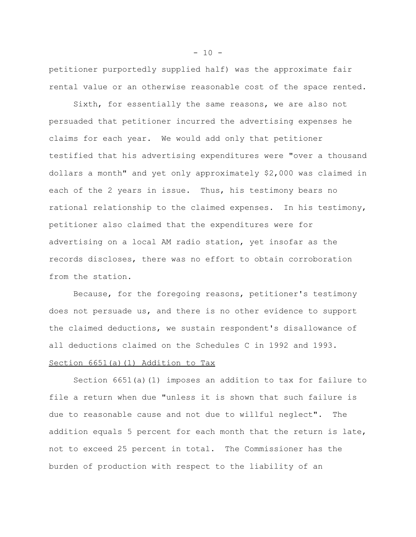petitioner purportedly supplied half) was the approximate fair rental value or an otherwise reasonable cost of the space rented.

Sixth, for essentially the same reasons, we are also not persuaded that petitioner incurred the advertising expenses he claims for each year. We would add only that petitioner testified that his advertising expenditures were "over a thousand dollars a month" and yet only approximately \$2,000 was claimed in each of the 2 years in issue. Thus, his testimony bears no rational relationship to the claimed expenses. In his testimony, petitioner also claimed that the expenditures were for advertising on a local AM radio station, yet insofar as the records discloses, there was no effort to obtain corroboration from the station.

Because, for the foregoing reasons, petitioner's testimony does not persuade us, and there is no other evidence to support the claimed deductions, we sustain respondent's disallowance of all deductions claimed on the Schedules C in 1992 and 1993. Section 6651(a)(1) Addition to Tax

Section 6651(a)(1) imposes an addition to tax for failure to file a return when due "unless it is shown that such failure is due to reasonable cause and not due to willful neglect". The addition equals 5 percent for each month that the return is late, not to exceed 25 percent in total. The Commissioner has the burden of production with respect to the liability of an

 $-10 -$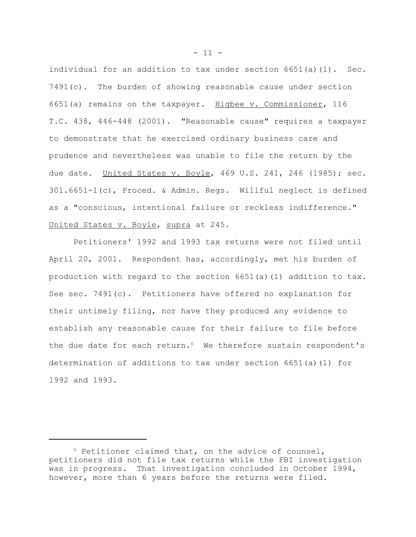individual for an addition to tax under section  $6651(a)(1)$ . Sec. 7491(c). The burden of showing reasonable cause under section 6651(a) remains on the taxpayer. Higbee v. Commissioner, 116 T.C. 438, 446-448 (2001). "Reasonable cause" requires a taxpayer to demonstrate that he exercised ordinary business care and prudence and nevertheless was unable to file the return by the due date. United States v. Boyle, 469 U.S. 241, 246 (1985); sec. 301.6651-1(c), Proced. & Admin. Regs. Willful neglect is defined as a "conscious, intentional failure or reckless indifference." United States v. Boyle, supra at 245.

Petitioners' 1992 and 1993 tax returns were not filed until April 20, 2001. Respondent has, accordingly, met his burden of production with regard to the section 6651(a)(1) addition to tax. See sec. 7491(c). Petitioners have offered no explanation for their untimely filing, nor have they produced any evidence to establish any reasonable cause for their failure to file before the due date for each return.<sup>6</sup> We therefore sustain respondent's determination of additions to tax under section 6651(a)(1) for 1992 and 1993.

 $6$  Petitioner claimed that, on the advice of counsel, petitioners did not file tax returns while the FBI investigation was in progress. That investigation concluded in October 1994, however, more than 6 years before the returns were filed.